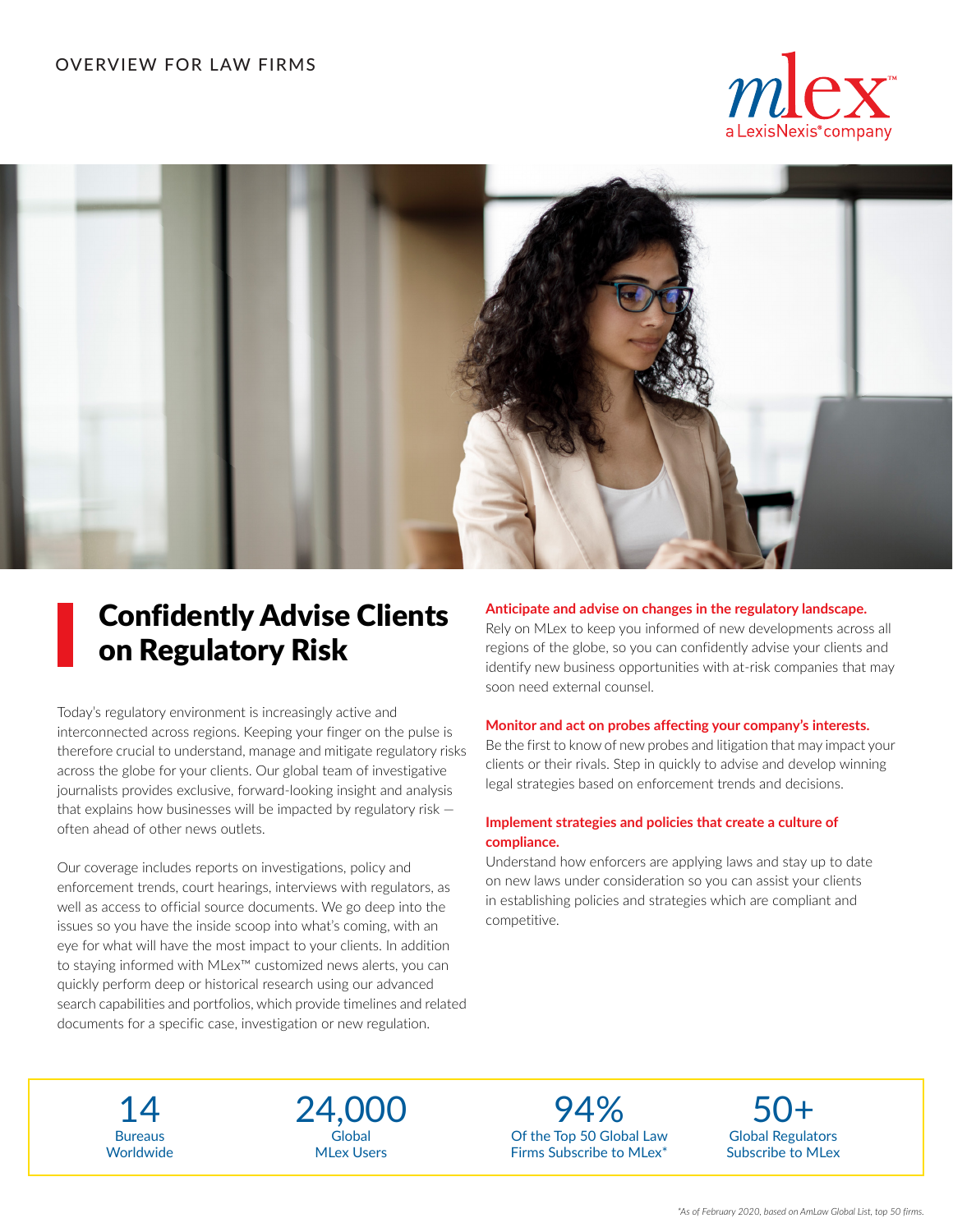## OVERVIEW FOR LAW FIRMS





## Confidently Advise Clients on Regulatory Risk

Today's regulatory environment is increasingly active and interconnected across regions. Keeping your finger on the pulse is therefore crucial to understand, manage and mitigate regulatory risks across the globe for your clients. Our global team of investigative journalists provides exclusive, forward-looking insight and analysis that explains how businesses will be impacted by regulatory risk  $$ often ahead of other news outlets.

Our coverage includes reports on investigations, policy and enforcement trends, court hearings, interviews with regulators, as well as access to official source documents. We go deep into the issues so you have the inside scoop into what's coming, with an eye for what will have the most impact to your clients. In addition to staying informed with MLex™ customized news alerts, you can quickly perform deep or historical research using our advanced search capabilities and portfolios, which provide timelines and related documents for a specific case, investigation or new regulation.

#### **Anticipate and advise on changes in the regulatory landscape.**

Rely on MLex to keep you informed of new developments across all regions of the globe, so you can confidently advise your clients and identify new business opportunities with at-risk companies that may soon need external counsel.

#### **Monitor and act on probes affecting your company's interests.**

Be the first to know of new probes and litigation that may impact your clients or their rivals. Step in quickly to advise and develop winning legal strategies based on enforcement trends and decisions.

#### **Implement strategies and policies that create a culture of compliance.**

Understand how enforcers are applying laws and stay up to date on new laws under consideration so you can assist your clients in establishing policies and strategies which are compliant and competitive.

Bureaus **Worldwide** 

Global MLex Users

Of the Top 50 Global Law Firms Subscribe to MLex\* 24,000 94% 50+

Global Regulators Subscribe to MLex